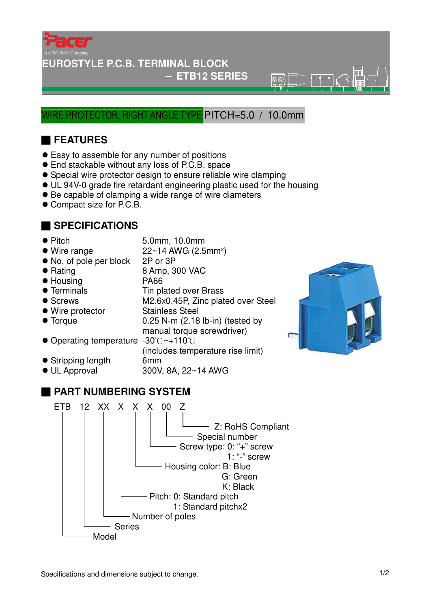

#### **EUROSTYLE P.C.B. TERMINAL BLOCK**

#### − **ETB12 SERIES**

 $\overline{\mathbb{R}}\overline{\mathbb{R}}$ 

#### WIRE PROTECTOR, RIGHT ANGLE TYPE PITCH=5.0 / 10.0mm

## ■ **FEATURES**

- Easy to assemble for any number of positions
- End stackable without any loss of P.C.B. space
- Special wire protector design to ensure reliable wire clamping
- UL 94V-0 grade fire retardant engineering plastic used for the housing
- Be capable of clamping a wide range of wire diameters
- Compact size for P.C.B.

#### ■ **SPECIFICATIONS**

- 
- Pitch 5.0mm, 10.0mm
- $\bullet$  Wire range  $22 \sim 14$  AWG (2.5mm<sup>2</sup>)
- No. of pole per block 2P or 3P
- Rating 8 Amp, 300 VAC
- Housing PA66
- Terminals Tin plated over Brass
- Screws M2.6x0.45P, Zinc plated over Steel
- Wire protector Stainless Steel
- 
- Torque 0.25 N-m (2.18 lb-in) (tested by manual torque screwdriver)
- Operating temperature -30°C ~+110°C (includes temperature rise limit)
- Stripping length 6mm
- 
- UL Approval 300V, 8A, 22~14 AWG



### ■ **PART NUMBERING SYSTEM**